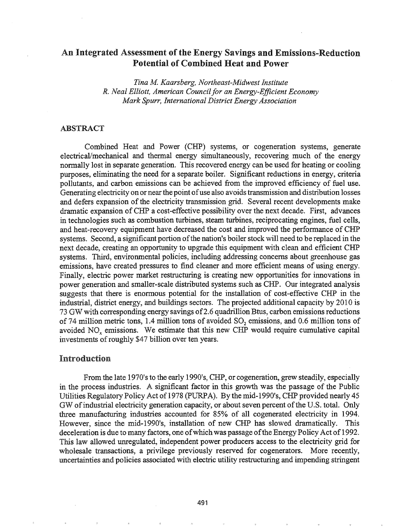# An Integrated Assessment of the Energy Savings and Emissions-Reduction Potential of Combined Heat and Power

*Tina M Kaarsberg, Northeast-Midwest Institute R. Neal Elliott, American Councilfor an Energy-Efficient Economy Mark Spurr, International District Energy Association*

# ABSTRACT

Combined Heat and Power (CHP) systems, or cogeneration systems, generate electrical/mechanical and thermal energy simultaneously, recovering much of the energy normally lost in separate generation. This recovered energy can be used for heating or cooling purposes, eliminating the need for a separate boiler. Significant reductions in energy, criteria pollutants, and carbon emissions can be achieved from the improved efficiency of fuel use. Generating electricity on or near the point of use also avoids transmission and distribution losses and defers expansion of the electricity transmission grid. Several recent developments make dramatic expansion ofCHP a cost-effective possibility over the next decade. First, advances in technologies such as combustion turbines, steam turbines, reciprocating engines, fuel cells, and heat-recovery equipment have decreased the cost and improved the performance of CHP systems. Second, a significant portion of the nation's boiler stock will need to be replaced in the next decade, creating an opportunity to upgrade this equipment with clean and efficient CHP systems. Third, environmental policies, including addressing concerns about greenhouse gas emissions, have created pressures to find cleaner and more efficient means of using energy. Finally, electric power market restructuring is creating new opportunities for innovations in power generation and smaller-scale distributed systems such as CHP. Our integrated analysis suggests that there is enormous potential for the installation of cost-effective CHP in the industrial, district energy, and buildings sectors. The projected additional capacity by 2010 is 73 GW with corresponding energy savings of 2.6 quadrillion Btus, carbon emissions reductions of 74 million metric tons, 1.4 million tons of avoided SO<sub>2</sub> emissions, and 0.6 million tons of avoided NO<sub>x</sub> emissions. We estimate that this new CHP would require cumulative capital investments of roughly \$47 billion over ten years.

#### Introduction

From the late 1970's to the early 1990's, CHP, or cogeneration, grew steadily, especially in the process industries. A significant factor in this growth was the passage of the Public Utilities Regulatory Policy Act of 1978 (PURPA). By the mid-1990's, CHP provided nearly 45 GW of industrial electricity generation capacity, or about seven percent of the U.S. total. Only three manufacturing industries accounted for 85% of all cogenerated electricity in 1994. However, since the mid-1990's, installation of new CHP has slowed dramatically. This deceleration is due to many factors, one of which was passage of the Energy Policy Act of 1992. This law allowed unregulated, independent power producers access to the electricity grid for wholesale transactions, a privilege previously reserved for cogenerators. More recently, uncertainties and policies associated with electric utility restructuring and impending stringent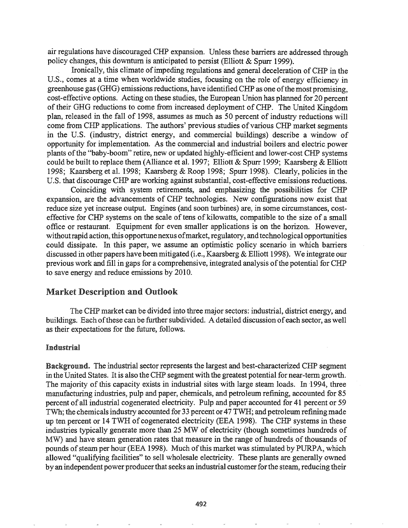air regulations have discouraged CHP expansion. Unless these barriers are addressed through policy changes, this downturn is anticipated to persist (Elliott & Spurr 1999).

Ironically, this climate of impeding regulations and general deceleration of CHP in the U.S., comes at a time when worldwide studies, focusing on the role of energy efficiency in greenhouse gas (GHG) emissions reductions, have identified CHP as one of the most promising, cost-effective options. Acting on these studies, the European Union has planned for 20 percent of their GHG reductions to come from increased deployment of CHP. The United Kingdom plan, released in the fall of 1998, assumes as much as 50 percent of industry reductions will come from CHP applications. The authors' previous studies of various CHP market segments in the U.S. (industry, district energy, and commercial buildings) describe a window of opportunity for implementation. As the commercial and industrial boilers and electric power plants of the "baby-boom" retire, new or updated highly-efficient and lower-cost CHP systems could be built to replace them (Alliance et al. 1997; Elliott & Spurr 1999; Kaarsberg & Elliott 1998; Kaarsberg et al. 1998; Kaarsberg & Roop 1998; Spurr 1998). Clearly, policies in the U.S. that discourage CHP are working against substantial, cost-effective emissions reductions.

Coinciding with system retirements, and emphasizing the possibilities for CHP expansion, are the advancements of CHP technologies. New configurations now exist that reduce size yet increase output. Engines (and soon turbines) are, in some circumstances, costeffective for CHP systems on the scale of tens of kilowatts, compatible to the size of a small office or restaurant. Equipment for even smaller applications is on the horizon. However, without rapid action, this opportune nexus of market, regulatory, and technological opportunities could dissipate. In this paper, we assume an optimistic policy scenario in which barriers discussed in other papers have been mitigated (i.e., Kaarsberg & Elliott 1998). We integrate our previous work and fill in gaps for a comprehensive, integrated analysis of the potential for CHP to save energy and reduce emissions by 2010.

## Market Description and Outlook

The CHP market can be divided into three major sectors: industrial, district energy, and buildings. Each of these can be further subdivided. A detailed discussion of each sector, as well as their expectations for the future, follows.

#### Industrial

Background. The industrial sector represents the largest and best-characterized CHP segment in the United States. It is also the CHP segment with the greatest potential for near-term growth. The majority of this capacity exists in industrial sites with large steam loads. In 1994, three manufacturing industries, pulp and paper, chemicals, and petroleum refining, accounted for 85 percent of all industrial cogenerated electricity. Pulp and paper accounted for 41 percent or 59 TWh; the chemicalsindustry accounted for 33 percent or 47 TWH; and petroleum refining made up ten percent or 14 TWH of cogenerated electricity (EEA 1998). The CHP systems in these industries typically generate more than 25 MW of electricity (though sometimes hundreds of MW) and have steam generation rates that measure in the range of hundreds of thousands of pounds of steam per hour (EEA 1998). Much of this market was stimulated by PURPA, which allowed "qualifying facilities" to sell wholesale electricity. These plants are generally owned by an independent power producer that seeks an industrial customer for the steam, reducing their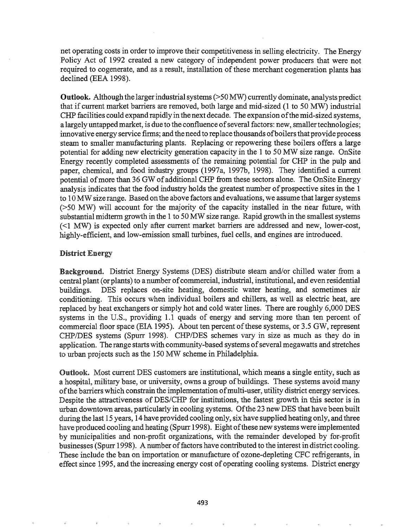net operating costs in order to improve their competitiveness in selling electricity. The Energy Policy Act of 1992 created a new category of independent power producers that were not required to cogenerate, and as a result, installation of these merchant cogeneration plants has declined (EEA 1998).

Outlook. Although the largerindustrialsystems(>50 MW) currently dominate, analysts predict that if current market barriers are removed, both large and mid-sized (1 to 50 MW) industrial CHP facilities could expand rapidly in the next decade. The expansion ofthe mid-sized systems, a largely untapped market, is due to the confluence of several factors: new, smaller technologies; innovative energyservice finns; and the need to replace thousands ofboilersthat provide process steam to smaller manufacturing plants. Replacing or repowering these boilers offers a large potential for adding new electricity generation capacity in the 1 to 50 MW size range. OnSite Energy recently completed assessments of the remaining potential for CHP in the pulp and paper, chemical, and food industry groups (1997a, 1997b, 1998). They identified a current potential of more than 36 GW of additional CHP from these sectors alone. The OnSite Energy analysis indicates that the food industry holds the greatest number of prospective sites in the 1 to 10 MW size range. Based on the above factors and evaluations, we assume that larger systems (>50 MW) will account for the majority of the capacity installed in the near future, with substantial midterm growth in the 1 to 50 MW size range. Rapid growth in the smallest systems  $\leq$  1 MW) is expected only after current market barriers are addressed and new, lower-cost, highly-efficient, and low-emission small turbines, fuel cells, and engines are introduced.

## District Energy

Background. District Energy Systems (DES) distribute steam and/or chilled water from a central plant (or plants) to a number ofcommercial, industrial, institutional, and even residential buildings. DES replaces on-site heating, domestic water heating, and sometimes air conditioning. This occurs when individual boilers and chillers, as well as electric heat, are replaced by heat exchangers or simply hot and cold water lines. There are roughly 6,000 DES systems in the U.S., providing 1.1 quads of energy and serving more than ten percent of commercial floor space (EIA 1995). About ten percent of these systems, or 3.5 GW, represent CHP/DES systems (Spurr 1998). CHP/DES schemes vary in size as much as they do in application. The range starts with community-based systems of several megawatts and stretches to urban projects such as the 150 MW scheme in Philadelphia.

Outlook~ Most current DES customers are iustitutional, which means a single entity, such as a hospital, military base, or university, owns a group of buildings. These systems avoid many ofthe barriers which constrain the implementation ofmulti-user, utility district energy services. Despite the attractiveness of DES/CHP for institutions, the fastest growth in this sector is in urban downtown areas, particularly in cooling systems. Ofthe 23 new DES that have been built during the last 15 years, 14 have provided cooling only, six have supplied heating only, and three have produced cooling and heating (Spurr 1998). Eight of these new systems were implemented by municipalities and non-profit organizations, with the remainder developed by for-profit businesses (Spurr 1998). A number of factors have contributed to the interest in district cooling. These include the ban on importation or manufacture of ozone-depleting CFC refrigerants, in effect since 1995, and the increasing energy cost of operating cooling systems. District energy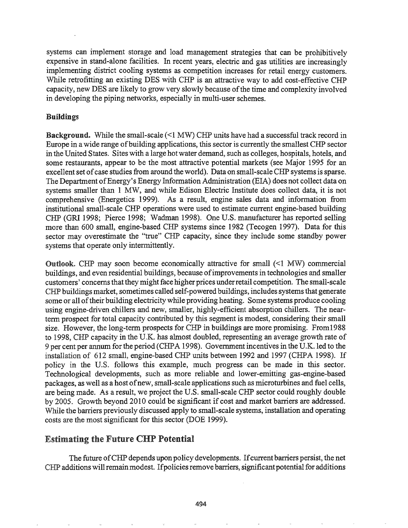systems can implement storage and load management strategies that can be prohibitively expensive in stand-alone facilities. In recent years, electric and gas utilities are increasingly implementing district cooling systems as competition increases for retail energy customers. While retrofitting an existing DES with CHP is an attractive way to add cost-effective CHP capacity, new DES are likely to grow very slowly because of the time and complexity involved in developing the piping networks, especially in multi-user schemes.

## Buildings

**Background.** While the small-scale  $($ <1 MW) CHP units have had a successful track record in Europe in a wide range ofbuilding applications, this sector is currently the smallest CHP sector in the United States. Sites with a large hot water demand, such as colleges, hospitals, hotels, and some restaurants, appear to be the most attractive potential markets (see Major 1995 for an excellent set of case studies from around the world). Data on small-scale CHP systems is sparse. The Department of Energy's Energy Information Administration (EIA) does not collect data on systems smaller than 1 MW, and while Edison Electric Institute does collect data, it is not comprehensive (Energetics 1999). As a result, engine sales data and information from institutional small-scale CHP operations were used to estimate current engine-based building CHP (GRI 1998; Pierce 1998; Wadman 1998). One U.S. manufacturer has reported selling more than 600 small, engine-based CHP systems since 1982 (Tecogen 1997). Data for this sector may overestimate the "true" CHP capacity, since they include some standby power systems that operate only intermittently.

Outlook. CHP may soon become economically attractive for small  $(\leq 1 \text{ MW})$  commercial buildings, and even residential buildings, because ofimprovements in technologies and smaller customers' concerns that they might face higher prices under retail competition. The small-scale CHP buildings market, sometimes called self-powered buildings, includes systems that generate some or all of their building electricity while providing heating. Some systems produce cooling using engine-driven chillers and new, smaller, highly-efficient absorption chillers. The nearterm prospect for total capacity contributed by this segment is modest, considering their small size. However, the long-term prospects for CHP in buildings are more promising. From1988 to 1998, CHP capacity in the U.K. has almost doubled, representing an average growth rate of 9 per cent per annum for the period (CHPA 1998). Government incentives in the U.K. led to the installation of 612 small, engine-based CHP units between 1992 and 1997 (CHPA 1998). If policy in the U.S. follows this example, much progress can be made in this sector. Technological developments, such as more reliable and lower-emitting gas-engine-based packages, as well as a host ofnew, small-scale applications such as microturbines and fuel cells, are being made. As a result, we project the U.S. small-scale CHP sector could roughly double by 2005. Growth beyond 2010 could be significant if cost and market barriers are addressed. While the barriers previously discussed apply to small-scale systems, installation and operating costs are the most significant for this sector (DOE 1999).

# Estimating the Future CHP Potential

The future ofCHP depends upon policy developments. Ifcurrent barriers persist, the net CHP additions will remain modest. If policies remove barriers, significant potential for additions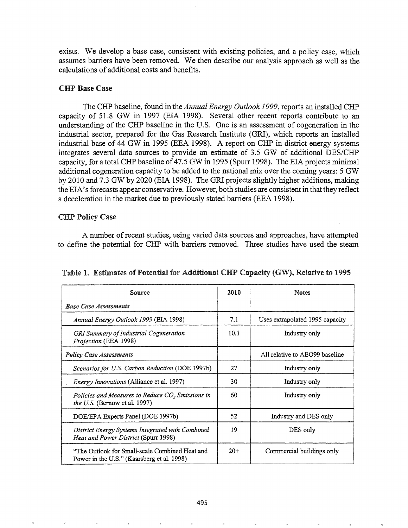exists. We develop a base case, consistent with existing policies, and a policy case, which assumes barriers have been removed. We then describe our analysis approach as well as the calculations of additional costs and benefits.

#### CHP Base Case

The CHP baseline, found in the *Annual Energy Outlook* 1999, reports an installed CHP capacity of 51.8 GW in 1997 (EIA 1998). Several other recent reports contribute to an understanding of the CHP baseline in the U.S. One is an assessment of cogeneration in the industrial sector, prepared for the Gas Research Institute (GRI), which reports an installed industrial base of 44 GW in 1995 (EEA 1998). A report on CHP in district energy systems integrates several data sources to provide an estimate of 3.5 GW of additional DES/CHP capacity, for a total CHP baseline of 47.5 GW in 1995 (Spurr 1998). The EIA projects minimal additional cogeneration capacity to be added to the national mix over the coming years: 5 GW by 2010 and 7.3 GW by 2020 (EIA 1998). The GRI projects slightly higher additions, making the EIA's forecasts appear conservative. However, both studies are consistent in that they reflect a deceleration in the market due to previously stated barriers (EEA 1998).

# CHP Policy Case

A number ofrecent studies, using varied data sources and approaches, have attempted to define the potential for CHP with barriers removed. Three studies have used the steam

| Source                                                                                       | 2010  | Notes                           |  |  |
|----------------------------------------------------------------------------------------------|-------|---------------------------------|--|--|
| <b>Base Case Assessments</b>                                                                 |       |                                 |  |  |
| Annual Energy Outlook 1999 (EIA 1998)                                                        | 7.1   | Uses extrapolated 1995 capacity |  |  |
| <b>GRI Summary of Industrial Cogeneration</b><br>Projection (EEA 1998)                       | 10.1  | Industry only                   |  |  |
| <b>Policy Case Assessments</b>                                                               |       | All relative to AEO99 baseline  |  |  |
| Scenarios for U.S. Carbon Reduction (DOE 1997b)                                              | 27    | Industry only                   |  |  |
| <i>Energy Innovations</i> (Alliance et al. 1997)                                             | 30    | Industry only                   |  |  |
| Policies and Measures to Reduce CO, Emissions in<br>the U.S. (Bernow et al. 1997)            | 60    | Industry only                   |  |  |
| DOE/EPA Experts Panel (DOE 1997b)                                                            | 52.   | Industry and DES only           |  |  |
| District Energy Systems Integrated with Combined<br>Heat and Power District (Spurr 1998)     | 19    | DES only                        |  |  |
| "The Outlook for Small-scale Combined Heat and<br>Power in the U.S." (Kaarsberg et al. 1998) | $20+$ | Commercial buildings only       |  |  |

| Table 1. Estimates of Potential for Additional CHP Capacity (GW), Relative to 1995 |  |  |  |
|------------------------------------------------------------------------------------|--|--|--|
|------------------------------------------------------------------------------------|--|--|--|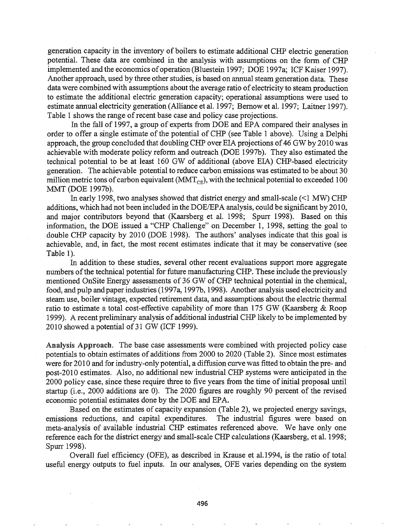generation capacity in the inventory of boilers to estimate additional CHP electric generation potential. These data are combined in the analysis with assumptions on the form of CHP implemented and the economics of operation (Bluestein 1997; DOE 1997a; ICF Kaiser 1997). Another approach, used by three other studies, is based on annual steam generation data. These data were combined with assumptions about the average ratio of electricity to steam production to estimate the additional electric generation capacity; operational assumptions were used to estimate annual electricity generation (Alliance et al. 1997; Bemowet al. 1997; Laitner 1997). Table 1 shows the range of recent base case and policy case projections.

In the fall of 1997, a group of experts from DOE and EPA compared their analyses in order to offer a single estimate of the potential of CHP (see Table 1 above). Using a Delphi approach, the group concluded that doubling CHP over EIA projections of 46 GW by 2010 was achievable with moderate policy refonn and outreach (DOE 1997b). They also estimated the technical potential to be at least 160 GW of additional (above EIA) CHP-based electricity generation. The achievable potential to reduce carbon emissions was estimated to be about 30 million metric tons of carbon equivalent ( $MMT_{CF}$ ), with the technical potential to exceeded 100 MMT (DOE 1997b).

In early 1998, two analyses showed that district energy and small-scale  $($  <  $1$  MW) CHP additions, which had not been included in the *DOE/EPA* analysis, could be significant by 2010, and major contributors beyond that (Kaarsberg et al. 1998; Spurr 1998). Based on this information, the DOE issued a "CHP Challenge" on December 1, 1998, setting the goal to double CHP capacity by 2010 (DOE 1998). The authors' analyses indicate that this goal is achievable, and, in fact, the most recent estimates indicate that it may be conservative (see Table 1).

In addition to these studies, several other recent evaluations support more aggregate numbers of the technical potential for future manufacturing CHP. These include the previously mentioned OnSite Energy assessments of 36 GW of CHP technical potential in the chemical, food, and pulp and paper industries (1997a, 1997b, 1998). Another analysis used electricity and steam use, boiler vintage, expected retirement data, and assumptions about the electric thermal ratio to estimate a total cost-effective capability of more than 175 GW (Kaarsberg & Roop 1999). A recent preliminary analysis of additional industrial CHP likely to be implemented by  $2010$  showed a potential of 31 GW (ICF 1999).

Analysis Approach. The base case assessments were combined with projected policy case potentials to obtain estimates of additions from 2000 to 2020 (Table 2). Since most estimates were for 2010 and for industry-only potential, a diffusion curve was fitted to obtain the pre- and post-2010 estimates. Also, no additional new industrial CHP systems were anticipated in the 2000 policy case, since these require three to five years from the time of initial proposal until startup (i.e., 2000 additions are 0). The 2020 figures are roughly 90 percent of the revised economic potential estimates done by the DOE and EPA.

Based on the estimates of capacity expansion (Table 2), we projected energy savings, emissions reductions, and capital expenditures. The industrial figures were based on meta-analysis of available industrial CHP estimates referenced above. We have only one reference each for the district energy and small-scale CHP calculations (Kaarsberg, et al. 1998; Spurr 1998).

Overall fuel efficiency (OFE), as described in Krause et al.1994, is the ratio of total useful energy outputs to fuel inputs. In our analyses, OFE varies depending on the system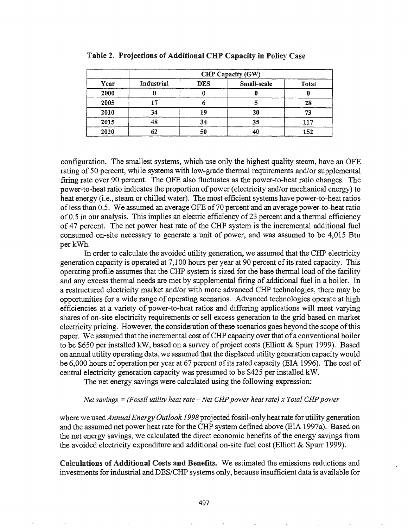|            | CHP Capacity (GW) |            |             |       |  |  |
|------------|-------------------|------------|-------------|-------|--|--|
| Year       | Industrial        | <b>DES</b> | Small-scale | Total |  |  |
| 2000       |                   |            |             |       |  |  |
| 2005       |                   |            |             | 28    |  |  |
| 2010       | 34                | 19         | 20          | 73    |  |  |
| 2015<br>48 |                   | 34         | 35          | 117   |  |  |
| 2020       | 62                | 50         | 40          | 152   |  |  |

Table 2. Projections of Additional CHP Capacity in Policy Case

configuration. The smallest systems, which use only the highest quality steam, have an OFE rating of 50 percent, while systems with low-grade thermal requirements and/or supplemental firing rate over 90 percent. The OFE also fluctuates as the power-to-heat ratio changes. The power-to-heat ratio indicates the proportion of power (electricity and/or mechanical energy) to heat energy (i.e., steam or chilled water). The most efficient systems have power-to-heat ratios ofless than 0.5. We assumed an average OFE of70 percent and an average power-to-heat ratio of0.5 in our analysis. This implies an electric efficiency of23 percent and a thermal efficiency of 47 percent. The net power heat rate of the CHP system is the incremental additional fuel consumed on-site necessary to generate a unit of power, and was assumed to be 4,015 Btu per kWh.

In order to calculate the avoided utility generation, we assumed that the CHP electricity generation capacity is operated at 7,100 hours per year at 90 percent of its rated capacity. This operating profile assumes that the CHP system is sized for the base thermal load of the facility and any excess thermal needs are met by supplemental firing of additional fuel in a boiler. In a restructured electricity market and/or with more advanced CHP technologies, there may be opportunities for a wide range of operating scenarios. Advanced technologies operate at high efficiencies at a variety of power-to-heat ratios and differing applications will meet varying shares of on-site electricity requirements or sell excess generation to the grid based on market electricity pricing. However, the consideration of these scenarios goes beyond the scope of this paper. We assumed that the incremental cost ofCHP capacity overthat ofa conventional boiler to be \$650 per installed kW, based on a survey of project costs (Elliott & Spurr 1999). Based on annual utility operating data, we assumed that the displaced utility generation capacitywould be 6,000 hours of operation per year at 67 percent of its rated capacity (EIA 1996). The cost of central electricity generation capacity was presumed to be \$425 per installed kW.

The net energy savings were calculated using the following expression:

#### *Net savings* =*(Fossil utility heat rate* - *Net CHP power heat rate) x Total CHP power*

where we used *Annual Energy Outlook 1998* projected fossil-only heat rate for utility generation and the assumed net power heat rate for the CHP system defmed above (EIA 1997a). Based on the net energy savings, we calculated the direct economic benefits of the energy savings from the avoided electricity expenditure and additional on-site fuel cost (Elliott & Spurr 1999).

Calculations of Additional Costs and Benefits. We estimated the emissions reductions and investments for industrial and DES/CHP systems only, because insufficient data is available for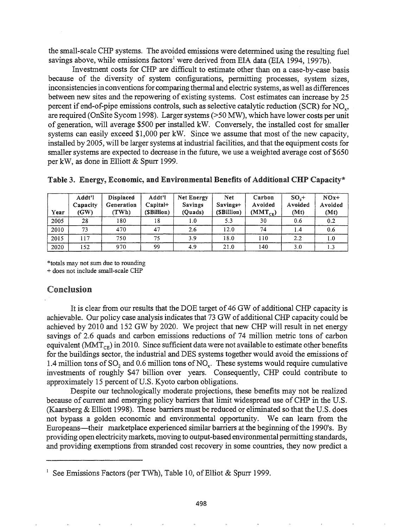the small-scale CHP systems. The avoided emissions were determined using the resulting fuel savings above, while emissions factors<sup>1</sup> were derived from EIA data (EIA 1994, 1997b).

Investment costs for CHP are difficult to estimate other than on a case-by-case basis because of the diversity of system configurations, permitting processes, system sizes, inconsistenciesin conventions for comparing thermal and electric systems, as well as differences between new sites and the repowering of existing systems. Cost estimates can increase by 25 percent if end-of-pipe emissions controls, such as selective catalytic reduction (SCR) for NO<sub>y</sub>, are required (OnSite Sycom 1998). Larger systems (>50 MW), which have lower costs per unit of generation, will average \$500 per installed kW. Conversely, the installed cost for smaller systems can easily exceed  $$1,000$  per kW. Since we assume that most of the new capacity, installed by 2005, will be larger systems at industrial facilities, and that the equipment costs for smaller systems are expected to decrease in the future, we use a weighted average cost of \$650 per kW, as done in Elliott & Spurr 1999.

| Year | Addt <sup>'</sup> I<br>Capacity<br>(GW) | <b>Displaced</b><br>Generation<br>(TWh) | Addt'l<br>$Canital+$<br>(SBillion) | Net Energy<br><b>Savings</b><br>(Quads) | <b>Net</b><br>Savings+<br>(SBillion) | Carbon<br>Avoided<br>$(MMT_{CE})$ | SO <sub>2</sub><br>Avoided<br>(Mt) | $NOx+$<br>Avoided<br>(Mt) |
|------|-----------------------------------------|-----------------------------------------|------------------------------------|-----------------------------------------|--------------------------------------|-----------------------------------|------------------------------------|---------------------------|
| 2005 | 28                                      | 180                                     | 18                                 | 1.0                                     | 5.3                                  | 30                                | 0.6                                | 0.2                       |
| 2010 | 73                                      | 470                                     | 47                                 | 2.6                                     | 12.0                                 | 74                                | 1.4                                | 0.6                       |
| 2015 | 117                                     | 750                                     | 75                                 | 3.9                                     | 18.0                                 | 110                               | 2.2                                | 1.0                       |
| 2020 | 152                                     | 970                                     | 99                                 | 4.9                                     | 21.0                                 | 140                               | 3.0                                | 1.3                       |

|  |  |  |  | Table 3. Energy, Economic, and Environmental Benefits of Additional CHP Capacity* |
|--|--|--|--|-----------------------------------------------------------------------------------|
|  |  |  |  |                                                                                   |

\*totals may not sum due to rounding

+ does not include small-scale CHP

# Conclusion

It is clear from our results that the DOE target of 46 GW of additional CHP capacity is achievable. Our policy case analysis indicates that 73 GW of additional CHP capacity could be achieved by 2010 and 152 GW by 2020. We project that new CHP will result in net energy savings of 2.6 quads and carbon emissions reductions of 74 million metric tons of carbon equivalent ( $MMT_{CF}$ ) in 2010. Since sufficient data were not available to estimate other benefits for the buildings sector, the industrial and DES systems together would avoid the emissions of 1.4 million tons of SO<sub>2</sub> and 0.6 million tons of NO<sub> $<sub>c</sub>$ </sub>. These systems would require cumulative</sub> investments of roughly \$47 billion over years. Consequently, CHP could contribute to approximately 15 percent of U.S. Kyoto carbon obligations.

Despite our technologically moderate projections, these benefits may not be realized because of current and emerging policy barriers that limit widespread use of CHP in the U.S. (Kaarsberg & Elliott 1998). These barriers must be reduced or eliminated so that the U.S. does not bypass a golden economic and environmental opportunity. We can learn from the Europeans—their marketplace experienced similar barriers at the beginning of the 1990's. By providing open electricity markets, moving to output-based environmental permitting standards, and providing exemptions from stranded cost recovery in some countries, they now predict a

<sup>&</sup>lt;sup>1</sup> See Emissions Factors (per TWh), Table 10, of Elliot & Spurr 1999.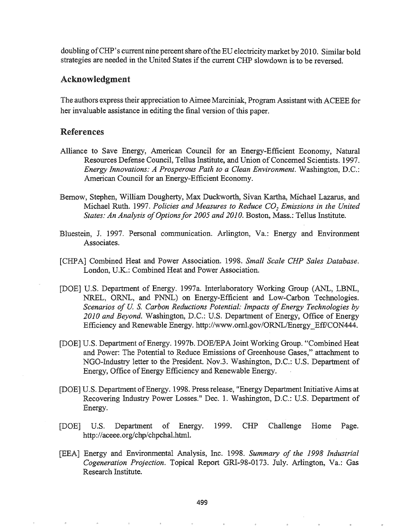doubling ofCHP's current nine percentshare ofthe ED electricitymarket by 2010. Similar bold strategies are needed in the United States if the current CHP slowdown is to be reversed.

### Acknowledgment

The authors express their appreciation to Aimee Marciniak, Program Assistant with ACEEE for her invaluable assistance in editing the final version of this paper.

# References

- Alliance to Save Energy, American Council for an Energy-Efficient Economy, Natural Resources Defense Council, Tellus Institute, and Union of Concerned Scientists. 1997. *Energy Innovations: A Prosperous Path to a Clean Environment.* Washington, D.C.: American Council for an Energy-Efficient Economy.
- Bemow, Stephen, William Dougherty, Max Duckworth, Sivan Kartha, Michael Lazarus, and Michael Ruth. 1997. *Policies and Measures to Reduce CO*<sup>2</sup> *Emissions in the United States: An Analysis ofOptionsfor 2005 and 2010.* Boston, Mass.: Tellus Institute.
- Bluestein, J. 1997. Personal communication. Arlington, Va.: Energy and Environment Associates.
- [CHPA] Combined Heat and Power Association. 1998. *Small Scale CHP Sales Database.* London, U.K.: Combined Heat and Power Association.
- [DOE] U.S. Department of Energy. 1997a. Interlaboratory Working Group (ANL, LBNL, NREL, ORNL, and PNNL) on Energy-Efficient and Low-Carbon Technologies. *Scenarios of* U. S. *Carbon Reductions Potential: Impacts ofEnergy Technologies by 2010 and Beyond.* Washington, D.C.: U.S. Department of Energy, Office of Energy Efficiency and Renewable Energy. http://www.ornl.gov/ORNL/Energy\_Eff/CON444.
- [DOE] U.S. Department of Energy. 1997b. DOE/EPA Joint Working Group. "Combined Heat and Power: The Potential to Reduce Emissions of Greenhouse Gases," attachment to NGO-Industry letter to the President. Nov.3. Washington, D.C.: U.S. Department of Energy, Office of Energy Efficiency and Renewable Energy.
- [DOE] U.S. Department of Energy. 1998. Press release, "Energy Department Initiative Aims at Recovering Industry Power Losses." Dec. 1. Washington, D.C.: U.S. Department of Energy.
- [DOE] U.S. Department of Energy. 1999. CHP Challenge Home Page. http://aceee.org/chp/chpchal.html.
- [EEA] Energy and Environmental Analysis, Inc. 1998. *Summary of the* 1998 *Industrial Cogeneration Projection.* Topical Report GRI-98-0173. July. Arlington, Va.: Gas Research Institute.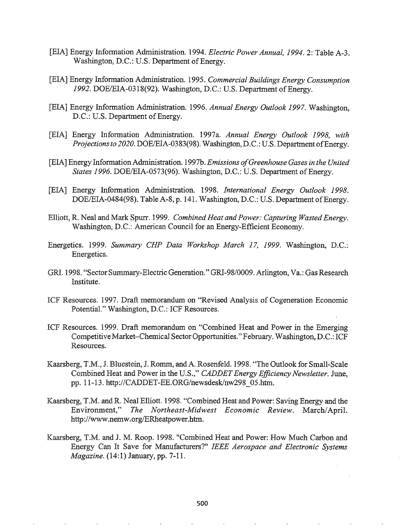- [EIA] Energy Infonnation Administration. 1994. *Electric Power Annual,* 1994.2: Table A-3. Washington, D.C.: U.S. Department of Energy.
- [EIA] Energy Infonnation Administration. 1995. *Commercial Buildings Energy Consumption* 1992. DOE/EIA-0318(92). Washington, D.C.: U.S. Department of Energy.
- [EIA] Energy Information Administration. 1996. *Annual Energy Outlook* 1997. Washington, D.C.: U.S. Department of Energy.
- [EIA] Energy Information Administration. 1997a. *Annual Energy Outlook* 1998, *with Projections to 2020.* DOE/EIA-0383(98). Washington, D.C.: U.S. Department of Energy.
- [EIA] Energy InformationAdministration. 1997b. *Emissions ofGreenhouse Gases in the United States* 1996. DOE/EIA-0573(96). Washington, D.C.: U.S. Department of Energy.
- [EIA] Energy Information Administration. 1998. *International Energy Outlook 1998.* DOE/EIA-0484(98). Table A-8, p. 141. Washington, D.C.: U.S. Department of Energy.
- Elliott, R. Neal and Mark Spurr. 1999. *Combined Heat and Power: Capturing Wasted Energy.* Washington, D.C.: American Council for an Energy-Efficient Economy.
- Energetics. 1999. *Summary CHP Data Workshop March 17, 1999*. Washington, D.C.: Energetics.
- GRI. 1998. "Sector Summary-Electric Generation." GRI-98/0009. Arlington, Va.: Gas Research Institute.
- ICF Resources. 1997. Draft memorandum on "Revised Analysis of Cogeneration Economic Potential." Washington, D.C.: ICF Resources.
- ICF Resources. 1999. Draft memorandum on "Combined Heat and Power in the Emerging Competitive Market-Chemical Sector Opportunities." February. Washington, D.C.: ICF Resources.
- Kaarsberg, T.M., J. Bluestein, J. Romm, and A. Rosenfeld. 1998. "The Outlook for Small-Scale Combined Heat and Power in the U.S.," CADDET Energy Efficiency Newsletter. June, pp. 11-13. http://CADDET-EE.ORG/newsdesk/nw298\_05.htm.
- Kaarsberg, T.M. and R. Neal Elliott. 1998. "Combined Heat and Power: Saving Energy and the Environment," *The Northeast-Midwest Economic Review.* March/April. http://www.nemw.org/ERheatpower.htm.
- Kaarsberg, T.M. and J. M. Roop. 1998. "Combined Heat and Power: How Much Carbon and Energy Can It Save for Manufacturers?" *IEEE Aerospace and Electronic Systems Magazine.* (14:1) January, pp. 7-11.